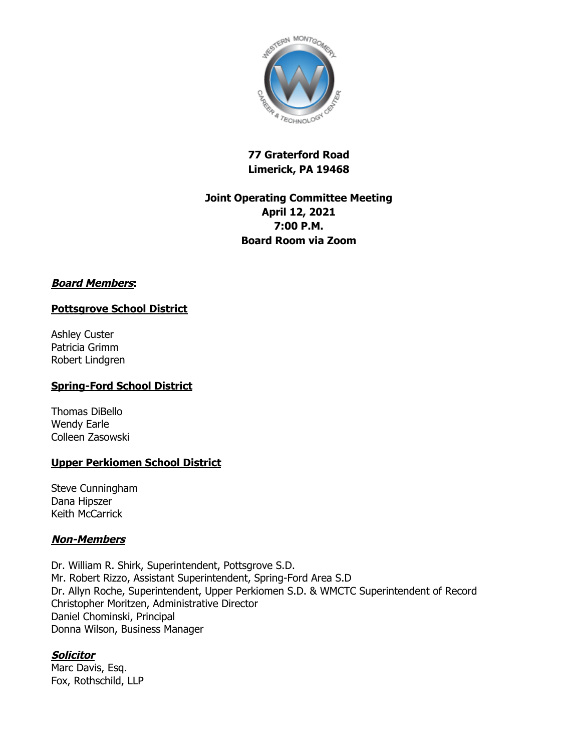

# **77 Graterford Road Limerick, PA 19468**

# **Joint Operating Committee Meeting April 12, 2021 7:00 P.M. Board Room via Zoom**

## **Board Members:**

### **Pottsgrove School District**

Ashley Custer Patricia Grimm Robert Lindgren

## **Spring-Ford School District**

Thomas DiBello Wendy Earle Colleen Zasowski

### **Upper Perkiomen School District**

Steve Cunningham Dana Hipszer Keith McCarrick

### **Non-Members**

Dr. William R. Shirk, Superintendent, Pottsgrove S.D. Mr. Robert Rizzo, Assistant Superintendent, Spring-Ford Area S.D Dr. Allyn Roche, Superintendent, Upper Perkiomen S.D. & WMCTC Superintendent of Record Christopher Moritzen, Administrative Director Daniel Chominski, Principal Donna Wilson, Business Manager

## **Solicitor**

Marc Davis, Esq. Fox, Rothschild, LLP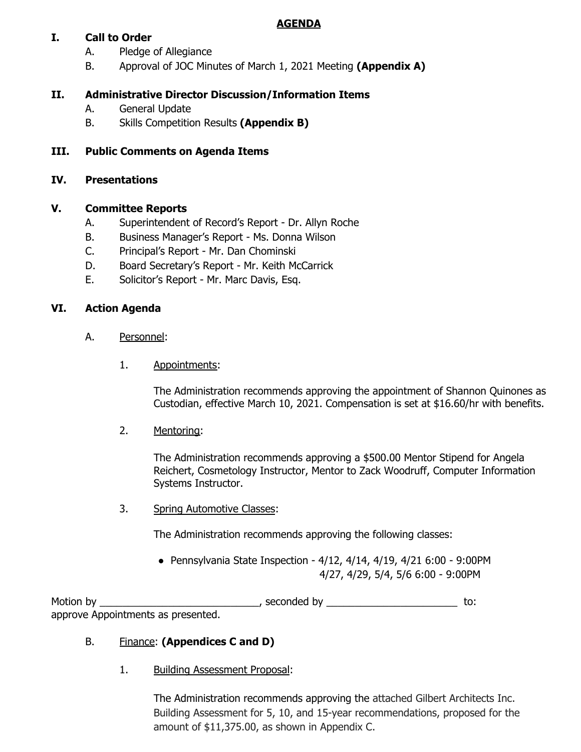## **AGENDA**

## **I. Call to Order**

- A. Pledge of Allegiance
- B. Approval of JOC Minutes of March 1, 2021 Meeting **(Appendix A)**

## **II. Administrative Director Discussion/Information Items**

- A. General Update
- B. Skills Competition Results **(Appendix B)**

## **III. Public Comments on Agenda Items**

### **IV. Presentations**

## **V. Committee Reports**

- A. Superintendent of Record's Report Dr. Allyn Roche
- B. Business Manager's Report Ms. Donna Wilson
- C. Principal's Report Mr. Dan Chominski
- D. Board Secretary's Report Mr. Keith McCarrick
- E. Solicitor's Report Mr. Marc Davis, Esq.

## **VI. Action Agenda**

- A. Personnel:
	- 1. Appointments:

The Administration recommends approving the appointment of Shannon Quinones as Custodian, effective March 10, 2021. Compensation is set at \$16.60/hr with benefits.

2. Mentoring:

The Administration recommends approving a \$500.00 Mentor Stipend for Angela Reichert, Cosmetology Instructor, Mentor to Zack Woodruff, Computer Information Systems Instructor.

3. Spring Automotive Classes:

The Administration recommends approving the following classes:

● Pennsylvania State Inspection - 4/12, 4/14, 4/19, 4/21 6:00 - 9:00PM 4/27, 4/29, 5/4, 5/6 6:00 - 9:00PM

Motion by \_\_\_\_\_\_\_\_\_\_\_\_\_\_\_\_\_\_\_\_\_\_\_\_\_\_\_\_\_\_\_\_\_, seconded by \_\_\_\_\_\_\_\_\_\_\_\_\_\_\_\_\_\_\_\_\_\_\_\_\_\_\_\_ to: approve Appointments as presented.

## B. Finance: **(Appendices C and D)**

1. Building Assessment Proposal:

The Administration recommends approving the attached Gilbert Architects Inc. Building Assessment for 5, 10, and 15-year recommendations, proposed for the amount of \$11,375.00, as shown in Appendix C.